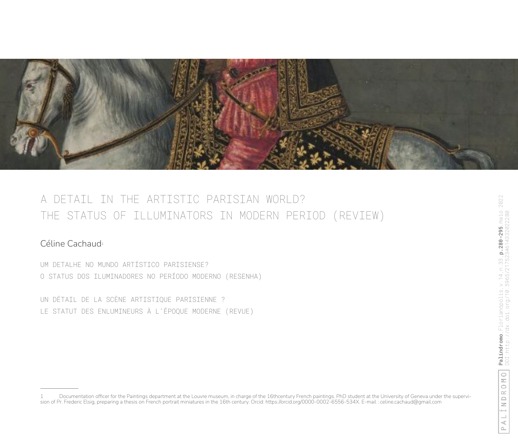

# A DETAIL IN THE ARTISTIC PARISIAN WORLD? THE STATUS OF ILLUMINATORS IN MODERN PERIOD (REVIEW)

# Céline Cachaud<sup>1</sup>

UM DETALHE NO MUNDO ARTÍSTICO PARISIENSE? O STATUS DOS ILUMINADORES NO PERÍODO MODERNO (RESENHA)

UN DÉTAIL DE LA SCÈNE ARTISTIQUE PARISIENNE ? LE STATUT DES ENLUMINEURS À L'ÉPOQUE MODERNE (REVUE)

<sup>1</sup> Documentation officer for the Paintings department at the Louvre museum, in charge of the 16thcentury French paintings. PhD student at the University of Geneva under the supervision of Pr. Frederic Elsig, preparing a thesis on French portrait miniatures in the 16th century. Orcid: https://orcid.org/0000-0002-6556-534X. E-mail : celine.cachaud@gmail.com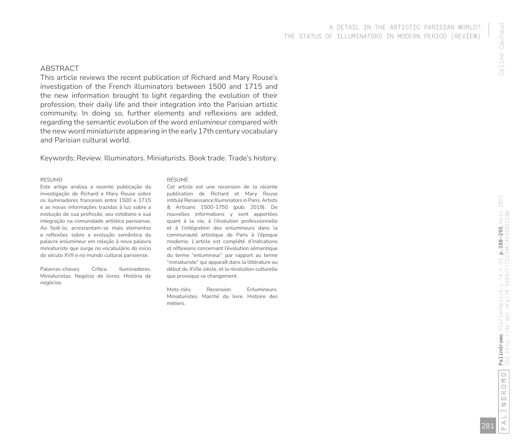# A DETAIL IN THE ARTISTIC PARISIAN WORLD? THE STATUS OF ILLUMINATORS IN MODERN PERIOD (REVIEW)

# ABSTRACT

This article reviews the recent publication of Richard and Mary Rouse's investigation of the French illuminators between 1500 and 1715 and the new information brought to light regarding the evolution of their profession, their daily life and their integration into the Parisian artistic community. In doing so, further elements and reflexions are added, regarding the semantic evolution of the word *enlumineur* compared with the new word *miniaturiste* appearing in the early 17th century vocabulary and Parisian cultural world.

Keywords: Review. Illuminators. Miniaturists. Book trade. Trade's history.

#### RESUMO

Este artigo analisa a recente publicação da investigação de Richard e Mary Rouse sobre os iluminadores franceses entre 1500 e 1715 e as novas informações trazidas à luz sobre a evolução de sua profissão, seu cotidiano e sua integração na comunidade artística parisiense. Ao fazê-lo, acrescentam-se mais elementos e reflexões sobre a evolução semântica da palavra *enlumineur* em relação à nova palavra *miniaturiste* que surge no vocabulário do início do século XVII e no mundo cultural parisiense.

Palavras-chaves: Crítica. Iluminadores. Miniaturistas. Negócio de livros. História de negócios.

#### RÉSUMÉ

Cet article est une recension de la récente publication de Richard et Mary Rouse intitulé Renaissance Illuminators in Paris. Artists & Artisans 1500-1750 (pub. 2019). De nouvelles informations y sont apportées quant à la vie, à l'évolution professionnelle et à l'intégration des enlumineurs dans la communauté artistique de Paris à l'époque moderne. L'article est complété d'indications et réflexions concernant l'évolution sémantique du terme "enlumineur" par rapport au terme "miniaturiste" qui apparaît dans la littérature au début du XVIIe siècle, et la révolution culturelle que provoque ce changement.

Mots-clés: Recension. Enlumineurs. Miniaturistes. Marché du livre. Histoire des métiers.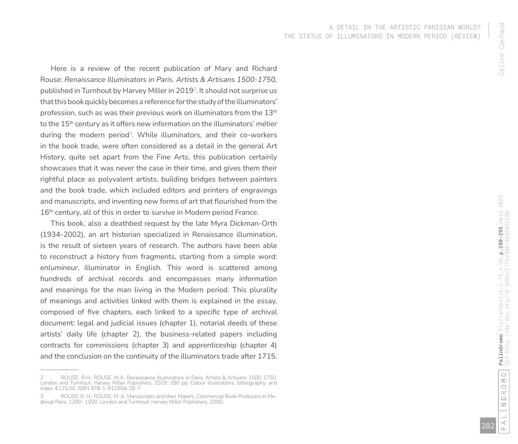Here is a review of the recent publication of Mary and Richard Rouse: *Renaissance Illuminators in Paris. Artists & Artisans 1500-1750,*  published in Turnhout by Harvey Miller in 2019 2 *.* It should not surprise us that this book quickly becomes a reference for the study of the illuminators' profession, such as was their previous work on illuminators from the 13th to the 15th century as it offers new information on the illuminators' *métier* during the modern period <sup>3</sup>. While illuminators, and their co-workers in the book trade, were often considered as a detail in the general Art History, quite set apart from the Fine Arts, this publication certainly showcases that it was never the case in their time, and gives them their rightful place as polyvalent artists, building bridges between painters and the book trade, which included editors and printers of engravings and manuscripts, and inventing new forms of art that flourished from the 16<sup>th</sup> century, all of this in order to survive in Modern period France.

This book, also a deathbed request by the late Myra Dickman-Orth (1934-2002), an art historian specialized in Renaissance illumination, is the result of sixteen years of research. The authors have been able to reconstruct a history from fragments, starting from a simple word: *enlumineur*, illuminator in English. This word is scattered among hundreds of archival records and encompasses many information and meanings for the man living in the Modern period. This plurality of meanings and activities linked with them is explained in the essay, composed of five chapters, each linked to a specific type of archival document: legal and judicial issues (chapter 1), notarial deeds of these artists' daily life (chapter 2), the business-related papers including contracts for commissions (chapter 3) and apprenticeship (chapter 4) and the conclusion on the continuity of the illuminators trade after 1715.

<sup>2</sup>  ROUSE, R.H.; ROUSE, M.A. Renaissance Illuminators in Paris. Artists & Artisans 1500-1750. London and Turnhout: Harvey Miller Publishers, 2019. 280 pp. Colour illustrations, bibliography, and index. €125,00. ISBN 978-1-912554-28-7

<sup>3</sup>  ROUSE; R. H.; ROUSE, M. A. Manuscripts and their Makers. Commercial Book Producers in Me - dieval Paris, 1200- 1500. London and Turnhout: Harvey Miller Publishers, 2000.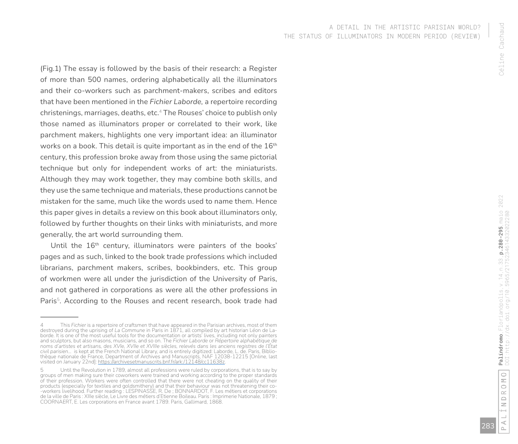(Fig.1) The essay is followed by the basis of their research: a Register of more than 500 names, ordering alphabetically all the illuminators and their co-workers such as parchment-makers, scribes and editors that have been mentioned in the *Fichier Laborde,* a repertoire recording christenings, marriages, deaths, etc. <sup>4</sup> The Rouses' choice to publish only those named as illuminators proper or correlated to their work, like parchment makers, highlights one very important idea: an illuminator works on a book. This detail is quite important as in the end of the  $16<sup>th</sup>$ century, this profession broke away from those using the same pictorial technique but only for independent works of art: the miniaturists. Although they may work together, they may combine both skills, and they use the same technique and materials, these productions cannot be mistaken for the same, much like the words used to name them. Hence this paper gives in details a review on this book about illuminators only, followed by further thoughts on their links with miniaturists, and more generally, the art world surrounding them.

Until the 16<sup>th</sup> century, illuminators were painters of the books' pages and as such, linked to the book trade professions which included librarians, parchment makers, scribes, bookbinders, etc. This group of workmen were all under the jurisdiction of the University of Paris, and not gathered in corporations as were all the other professions in Paris<sup>5</sup>. According to the Rouses and recent research, book trade had Céline Cachaud

Céline Cachaud

<sup>4</sup>  This *Fichier* is a repertoire of craftsmen that have appeared in the Parisian archives, most of them destroyed during the uprising of *La Commune* in Paris in 1871, all compiled by art historian Léon de La borde. It is one of the most useful tools for the documentation or artists' lives, including not only painters and sculptors, but also masons, musicians, and so on. The *Fichier Laborde* or *Répertoire alphabétique de noms d'artistes et artisans, des XVIe, XVIIe et XVIIIe siècles, relevés dans les anciens registres de l'État civil parisien…* is kept at the French National Library, and is entirely digitized: Laborde, L. de. Paris, Biblio thèque nationale de France, Department of Archives and Manuscripts, NAF 12038-12215 [Online, last visited on January 22nd]: <u>https://archivesetmanuscrits.bnf.fr/ark:/12148/cc11638z</u>.

<sup>5</sup> Until the Revolution in 1789, almost all professions were ruled by corporations, that is to say by groups of men making sure their coworkers were trained and working according to the proper standards of their profession. Workers were often controlled that there were not cheating on the quality of their products (especially for textiles and goldsmithery) and that their behaviour was not threatening their co - -workers livelihood. Further reading : LESPINASSE, R. De ; BONNARDOT, F. Les métiers et corporations de la ville de Paris : XIIIe siècle, Le Livre des métiers d'Etienne Boileau. Paris : Imprimerie Nationale, 1879 ; COORNAERT, E. Les corporations en France avant 1789. Paris, Gallimard, 1868.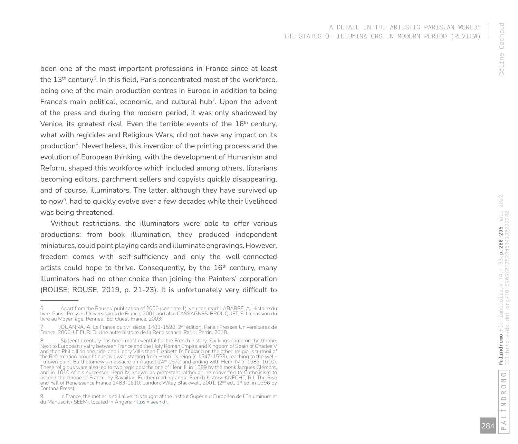been one of the most important professions in France since at least the  $13^{\text{th}}$  century $^{\circ}$ . In this field, Paris concentrated most of the workforce, being one of the main production centres in Europe in addition to being France's main political, economic, and cultural hub <sup>7</sup>. Upon the advent of the press and during the modern period, it was only shadowed by Venice, its greatest rival. Even the terrible events of the  $16<sup>th</sup>$  century, what with regicides and Religious Wars, did not have any impact on its production <sup>8</sup>. Nevertheless, this invention of the printing process and the evolution of European thinking, with the development of Humanism and Reform, shaped this workforce which included among others, librarians becoming editors, parchment sellers and copyists quickly disappearing, and of course, illuminators. The latter, although they have survived up to now <sup>9</sup>, had to quickly evolve over a few decades while their livelihood was being threatened.

Without restrictions, the illuminators were able to offer various productions: from book illumination, they produced independent miniatures, could paint playing cards and illuminate engravings. However, freedom comes with self-sufficiency and only the well-connected artists could hope to thrive. Consequently, by the  $16<sup>th</sup>$  century, many illuminators had no other choice than joining the Painters' corporation (ROUSE; ROUSE, 2019, p. 21-23). It is unfortunately very difficult to

Apart from the Rouses' publication of 2000 (see note 1), you can read: LABARRE, A. Histoire du livre. Paris : Presses Universitaires de France, 2001 and also CASSAGNES-BROUQUET, S. La passion du livre au Moyen âge. Rennes : Éd. Ouest-France, 2003.

<sup>7</sup> JOUANNA, A. La France du xvi<sup>e</sup> siècle, 1483-1598. 2<sup>nd</sup> édition. Paris : Presses Universitaires de France, 2006. LE FUR, D. Une autre histoire de la Renaissance. Paris : Perrin, 2018.

Sixteenth century has been most eventful for the French history. Six kings came on the throne. Next to European rivalry between France and the Holy Roman Empire and Kingdom of Spain of Charles V and then Philip II on one side, and Henry VIII's then Elizabeth I's England on the other, religious turmoil of the Reformation brought out civil war, starting from Henri II's reign (r. 1547-1559), reaching to the well - -known Saint-Bartholomew's massacre on August 24<sup>th</sup> 1572 and ending with Henri IV (r. 1589-1610). These religious wars also led to two regicides: the one of Henri III in 1589 by the monk Jacques Clément, and in 1610 of his successor Henri IV, known as protestant, although he converted to Catholicism to ascend the throne of France, by Ravaillac. Further reading about French history: KNECHT, R.J. The Rise and Fall of Renaissance France 1483-1610. London: Wiley Blackwell, 2001. (2nd ed., 1st ed. in 1996 by Fontana Press).

In France, the métier is still alive; it is taught at the Institut Supérieur Européen de l'Enluminure et du Manuscrit (ISEEM), located in Angers: https://iseem.fr.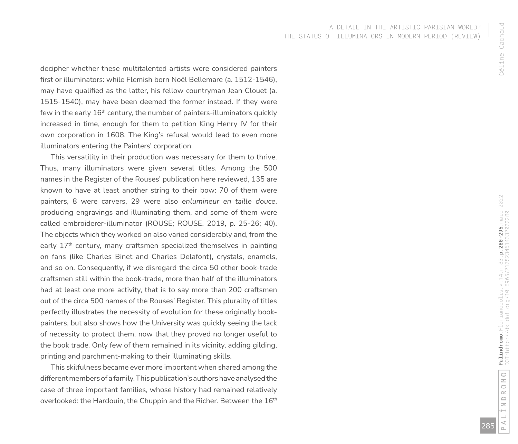decipher whether these multitalented artists were considered painters first or illuminators: while Flemish born Noël Bellemare (a. 1512-1546), may have qualified as the latter, his fellow countryman Jean Clouet (a. 1515-1540), may have been deemed the former instead. If they were few in the early  $16<sup>th</sup>$  century, the number of painters-illuminators quickly increased in time, enough for them to petition King Henry IV for their own corporation in 1608. The King's refusal would lead to even more illuminators entering the Painters' corporation.

This versatility in their production was necessary for them to thrive. Thus, many illuminators were given several titles. Among the 500 names in the Register of the Rouses' publication here reviewed, 135 are known to have at least another string to their bow: 70 of them were painters, 8 were carvers, 29 were also *enlumineur en taille douce*, producing engravings and illuminating them, and some of them were called embroiderer-illuminator (ROUSE; ROUSE, 2019, p. 25-26; 40). The objects which they worked on also varied considerably and, from the early 17<sup>th</sup> century, many craftsmen specialized themselves in painting on fans (like Charles Binet and Charles Delafont), crystals, enamels, and so on. Consequently, if we disregard the circa 50 other book-trade craftsmen still within the book-trade, more than half of the illuminators had at least one more activity, that is to say more than 200 craftsmen out of the circa 500 names of the Rouses' Register. This plurality of titles perfectly illustrates the necessity of evolution for these originally bookpainters, but also shows how the University was quickly seeing the lack of necessity to protect them, now that they proved no longer useful to the book trade. Only few of them remained in its vicinity, adding gilding, printing and parchment-making to their illuminating skills.

This skilfulness became ever more important when shared among the different members of a family. This publication's authors have analysed the case of three important families, whose history had remained relatively overlooked: the Hardouin, the Chuppin and the Richer. Between the 16<sup>th</sup>

285

Céline Cachaud

Céline Cachaud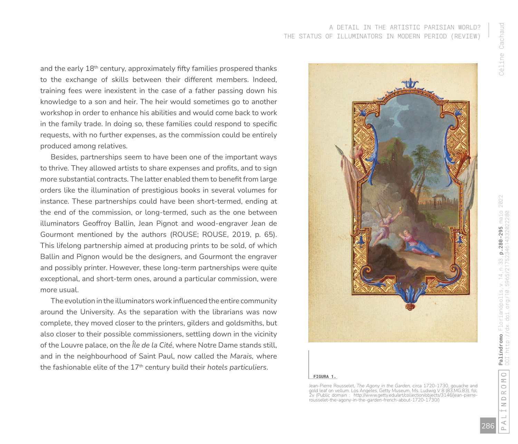Céline Cachaud Céline Cachaud

and the early 18<sup>th</sup> century, approximately fifty families prospered thanks to the exchange of skills between their different members. Indeed, training fees were inexistent in the case of a father passing down his knowledge to a son and heir. The heir would sometimes go to another workshop in order to enhance his abilities and would come back to work in the family trade. In doing so, these families could respond to specific requests, with no further expenses, as the commission could be entirely produced among relatives.

Besides, partnerships seem to have been one of the important ways to thrive. They allowed artists to share expenses and profits, and to sign more substantial contracts. The latter enabled them to benefit from large orders like the illumination of prestigious books in several volumes for instance. These partnerships could have been short-termed, ending at the end of the commission, or long-termed, such as the one between illuminators Geoffroy Ballin, Jean Pignot and wood-engraver Jean de Gourmont mentioned by the authors (ROUSE; ROUSE, 2019, p. 65). This lifelong partnership aimed at producing prints to be sold, of which Ballin and Pignon would be the designers, and Gourmont the engraver and possibly printer. However, these long-term partnerships were quite exceptional, and short-term ones, around a particular commission, were more usual.

The evolution in the illuminators work influenced the entire community around the University. As the separation with the librarians was now complete, they moved closer to the printers, gilders and goldsmiths, but also closer to their possible commissioners, settling down in the vicinity of the Louvre palace, on the *Île de la Cité*, where Notre Dame stands still, and in the neighbourhood of Saint Paul, now called the *Marais,* where the fashionable elite of the 17th century build their *hotels particuliers*.



#### **FIGURA 1.**

Jean-Pierre Rousselet, *The Agony in the Garden,* circa 1720-1730, gouache and gold leaf on vellum. Los Angeles, Getty Museum, Ms. Ludwig V 8 (83.MG.83), fol. 2v (Public domain : http://www.getty.edu/art/collection/objects/3146/jean-pierrerousselet-the-agony-in-the-garden-french-about-1720-1730/)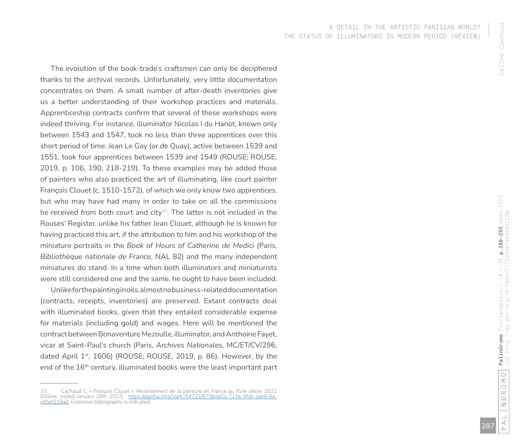The evolution of the book-trade's craftsmen can only be deciphered thanks to the archival records. Unfortunately, very little documentation concentrates on them. A small number of after-death inventories give us a better understanding of their workshop practices and materials. Apprenticeship contracts confirm that several of these workshops were indeed thriving. For instance, illuminator Nicolas I du Hanot, known only between 1543 and 1547, took no less than three apprentices over this short period of time. Jean Le Gay (or de Quay), active between 1539 and 1551, took four apprentices between 1539 and 1549 (ROUSE; ROUSE, 2019, p. 106, 190, 218-219). To these examples may be added those of painters who also practiced the art of illuminating, like court painter François Clouet (c. 1510-1572), of which we only know two apprentices, but who may have had many in order to take on all the commissions he received from both court and city<sup>10</sup>. The latter is not included in the Rouses' Register, unlike his father Jean Clouet, although he is known for having practiced this art, if the attribution to him and his workshop of the miniature portraits in the *Book of Hours of Catherine de Medici* (Paris, *Bibliothèque nationale de France*, NAL 82) and the many independent miniatures do stand. In a time when both illuminators and miniaturists were still considered one and the same, he ought to have been included.

Unlike for the painting in oils, almost no business-related documentation (contracts, receipts, inventories) are preserved. Extant contracts deal with illuminated books, given that they entailed considerable expense for materials (including gold) and wages. Here will be mentioned the contract between Bonaventure Mezoulle, illuminator, and Anthoine Fayet, vicar at Saint-Paul's church (Paris, *Archives Nationales*, MC/ET/CV/296, dated April 1<sup>st</sup>, 1606) (ROUSE; ROUSE, 2019, p. 86). However, by the end of the 16<sup>th</sup> century, illuminated books were the least important part

<sup>10</sup> Cachaud C. « François Clouet ». *Recensement de la peinture en France au XVIe siècle,* 2021 [Online, visited January 28th 2022] : <u>https://agorha.inha.fr/ark:/54721/675bda0a-713e-4fcb-aae9-6a-</u><br><u>c45ef218a0</u>. Extensive bibliography is indicated.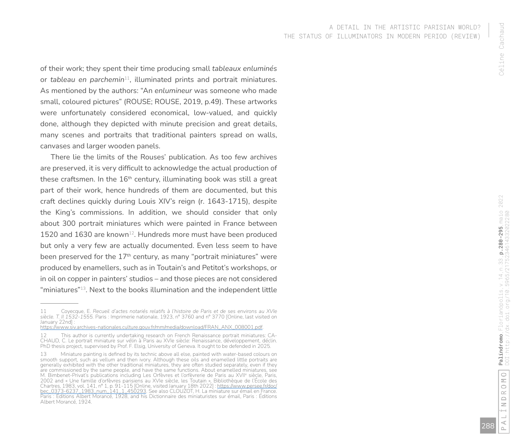of their work; they spent their time producing small *tableaux enluminés* or *tableau en parchemin*<sup>11</sup>, illuminated prints and portrait miniatures. As mentioned by the authors: "An *enlumineur* was someone who made small, coloured pictures" (ROUSE; ROUSE, 2019, p.49). These artworks were unfortunately considered economical, low-valued, and quickly done, although they depicted with minute precision and great details, many scenes and portraits that traditional painters spread on walls, canvases and larger wooden panels.

There lie the limits of the Rouses' publication. As too few archives are preserved, it is very difficult to acknowledge the actual production of these craftsmen. In the  $16<sup>th</sup>$  century, illuminating book was still a great part of their work, hence hundreds of them are documented, but this craft declines quickly during Louis XIV's reign (r. 1643-1715), despite the King's commissions. In addition, we should consider that only about 300 portrait miniatures which were painted in France between 1520 and 1630 are known<sup>12</sup>. Hundreds more must have been produced but only a very few are actually documented. Even less seem to have been preserved for the  $17<sup>th</sup>$  century, as many "portrait miniatures" were produced by enamellers, such as in Toutain's and Petitot's workshops, or in oil on copper in painters' studios – and those pieces are not considered "miniatures"<sup>13</sup>. Next to the books illumination and the independent little

<sup>11</sup> Coyecque, E. *Recueil d'actes notariés relatifs à l'histoire de Paris et de ses environs au XVIe siècle. T. II 1532-1555.* Paris : Imprimerie nationale, 1923, n° 3760 and n° 3770 [Online, last visited on January 22nd] :

https://www.siv.archives-nationales.culture.gouv.fr/mm/media/download/FRAN\_ANX\_008001.pdf .

<sup>12</sup> This author is currently undertaking research on French Renaissance portrait miniatures: CA - CHAUD, C. Le portrait miniature sur vélin à Paris au XVIe siècle: Renaissance, développement, déclin. PhD thesis project, supervised by Prof. F. Elsig, University of Geneva. It ought to be defended in 2025.

<sup>13</sup> Miniature painting is defined by its technic above all else, painted with water-based colours on smooth support, such as vellum and then ivory. Although these oils and enamelled little portraits are generally exhibited with the other traditional miniatures, they are often studied separately, even if they are commissioned by the same people, and have the same functions. About enamelled miniatures, see M. Bimbenet-Privat's publications including Les Orfèvres et l'orfèvrerie de Paris au XVIIª sièçle, Paris, 2002 and « Une famille d'orfèvres parisiens au XVIe siècle, les Toutain », Bibliothèque de l'École des Chartres, 1983, vol. 141, n° 1, p. 91-115 [Online, visited January 18th 2022] : https://www.persee.fr/doc/ bec\_0373-6237\_1983\_num\_141\_1\_450293 . See also CLOUZOT, H. La miniature sur émail en France. Paris : Éditions Albert Morancé, 1928, and his Dictionnaire des miniaturistes sur émail, Paris : Éditions Albert Morancé, 1924.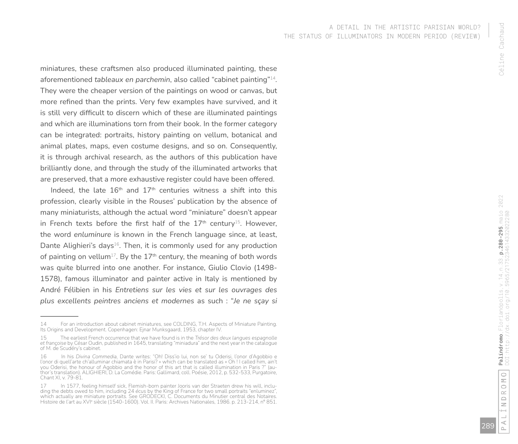miniatures, these craftsmen also produced illuminated painting, these aforementioned *tableaux en parchemin*, also called "cabinet painting"<sup>14</sup>. They were the cheaper version of the paintings on wood or canvas, but more refined than the prints. Very few examples have survived, and it is still very difficult to discern which of these are illuminated paintings and which are illuminations torn from their book. In the former category can be integrated: portraits, history painting on vellum, botanical and animal plates, maps, even costume designs, and so on. Consequently, it is through archival research, as the authors of this publication have brilliantly done, and through the study of the illuminated artworks that are preserved, that a more exhaustive register could have been offered.

Indeed, the late  $16<sup>th</sup>$  and  $17<sup>th</sup>$  centuries witness a shift into this profession, clearly visible in the Rouses' publication by the absence of many miniaturists, although the actual word "miniature" doesn't appear in French texts before the first half of the  $17<sup>th</sup>$  century<sup>15</sup>. However, the word *enluminure* is known in the French language since, at least, Dante Alighieri's days<sup>16</sup>. Then, it is commonly used for any production of painting on vellum<sup>17</sup>. By the  $17<sup>th</sup>$  century, the meaning of both words was quite blurred into one another. For instance, Giulio Clovio (1498- 1578), famous illuminator and painter active in Italy is mentioned by André Félibien in his *Entretiens sur les vies et sur les ouvrages des plus excellents peintres anciens et modernes* as such : "*Je ne sçay si* 

<sup>14</sup> For an introduction about cabinet miniatures, see COLDING, T.H. Aspects of Miniature Painting. Its Origins and Development. Copenhagen: Ejnar Munksgaard, 1953, chapter IV.

<sup>15</sup> The earliest French occurrence that we have found is in the *Trésor des deux langues espagnolle et françoise* by César Oudin, published in 1645, translating "miniadura" and the next year in the catalogue of M. de Scudéry's cabinet.

<sup>16</sup> In his *Divina Commedia,* Dante writes: "Oh! Diss'io lui, non se' tu Oderisi, l'onor d'Agobbio e l'onor di quell'arte ch'alluminar chiamata è in Parisi? » which can be translated as « Oh ! I called him, ain't you Oderisi, the honour of Agobbio and the honor of this art that is called illumination in Paris ?" (au thor's translation). ALIGHIERI, D. La Comédie. Paris: Gallimard, coll. Poésie, 2012, p. 532-533, Purgatoire, Chant XI, v. 79-81.

<sup>17</sup> In 1577, feeling himself sick, Flemish-born painter Jooris van der Straeten drew his will, including the debts owed to him, including 24 *écus* by the King of France for two small portraits "enluminez", which actually are miniature portraits. See GRODECKI, C. Documents du Minutier central des Notaires. Histoire de l'art au XVI<sup>e</sup> siècle (1540-1600). Vol. II. Paris: Archives Nationales, 1986. p. 213-214, n° 851.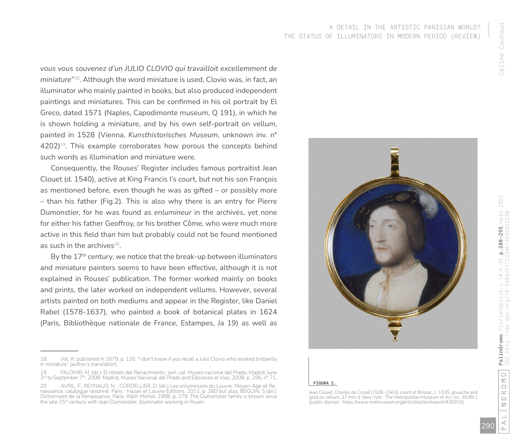*vous vous souvenez d'un JULIO CLOVIO qui travailloit excellemment de miniature*"<sup>18</sup>. Although the word miniature is used, Clovio was, in fact, an illuminator who mainly painted in books, but also produced independent paintings and miniatures. This can be confirmed in his oil portrait by El Greco, dated 1571 (Naples, Capodimonte museum, Q 191), in which he

is shown holding a miniature, and by his own self-portrait on vellum, painted in 1528 (Vienna, *Kunsthistorisches Museum*, unknown inv. n°  $4202$ <sup>19</sup>. This example corroborates how porous the concepts behind such words as illumination and miniature were.

Consequently, the Rouses' Register includes famous portraitist Jean Clouet (d. 1540), active at King Francis I's court, but not his son François as mentioned before, even though he was as gifted – or possibly more – than his father (Fig.2). This is also why there is an entry for Pierre Dumonstier, for he was found as *enlumineur* in the archives, yet none for either his father Geoffroy, or his brother Côme, who were much more active in this field than him but probably could not be found mentioned as such in the archives $20$ .

By the 17<sup>th</sup> century, we notice that the break-up between illuminators and miniature painters seems to have been effective, although it is not explained in Rouses' publication. The former worked mainly on books and prints, the later worked on independent vellums. However, several artists painted on both mediums and appear in the Register, like Daniel Rabel (1578-1637), who painted a book of botanical plates in 1624 (Paris, Bibliothèque nationale de France, Estampes, Ja 19) as well as



#### **FIGURA 2.**

Jean Clouet. *Charles de Cossé* (1506-1563), count of Brissac, c. 1535, gouache and gold on vellum, 37 mm d. New York : The Metropolitan Museum of Art, inv. 35.89.1 (public domain : https://www.metmuseum.org/art/collection/search/435915)

<sup>18</sup> Vol. III, published in 1679, p. 120. "I don't know if you recall a Julio Clovio who worked brilliantly in miniature" (author's translation).

<sup>19</sup> FALOMIR, M. (dir.). El retrato del Renacimiento ; exh. cat. Museo nacional del Prado, Madrid, June 3<sup>rd</sup> to September 7<sup>th</sup>, 2008. Madrid, Museo Nacional del Prado and Ediciones el Viso, 2008. p. 296, n° 71,

<sup>20</sup> AVRIL, F., REYNAUD, N. ; CORDELLIER, D. (dir.) Les enluminures du Louvre. Moyen-Age et Renaissance, catalogue raisonné. Paris : Hazan et Louvre Editions, 2011, p. 260 but also, BEGUIN, S.(dir.). Dictionnaire de la Renaissance. Paris: Albin Michel, 1998, p. 279. The Dumonstier family is known since the late 15th century with Jean Dumonstier, illuminator working in Rouen.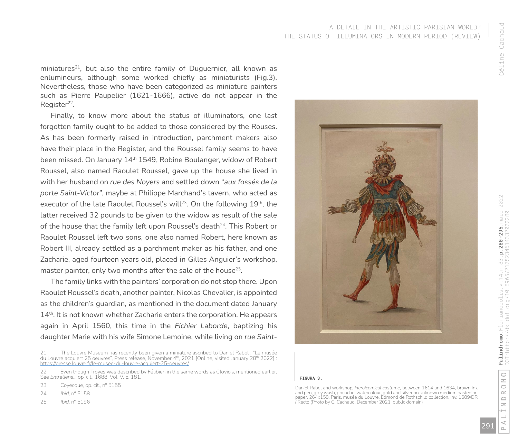miniatures<sup>21</sup>, but also the entire family of Duguernier, all known as enlumineurs, although some worked chiefly as miniaturists (Fig.3). Nevertheless, those who have been categorized as miniature painters such as Pierre Paupelier (1621-1666), active do not appear in the Register<sup>22</sup>.

Finally, to know more about the status of illuminators, one last forgotten family ought to be added to those considered by the Rouses. As has been formerly raised in introduction, parchment makers also have their place in the Register, and the Roussel family seems to have been missed. On January 14<sup>th</sup> 1549, Robine Boulanger, widow of Robert Roussel, also named Raoulet Roussel, gave up the house she lived in with her husband on *rue des Noyers* and settled down "*aux fossés de la porte Saint-Victor*", maybe at Philippe Marchand's tavern, who acted as executor of the late Raoulet Roussel's will<sup>23</sup>. On the following  $19<sup>th</sup>$ , the latter received 32 pounds to be given to the widow as result of the sale of the house that the family left upon Roussel's death $24$ . This Robert or Raoulet Roussel left two sons, one also named Robert, here known as Robert III, already settled as a parchment maker as his father, and one Zacharie, aged fourteen years old, placed in Gilles Anguier's workshop, master painter, only two months after the sale of the house<sup>25</sup>.

The family links with the painters' corporation do not stop there. Upon Raoulet Roussel's death, another painter, Nicolas Chevalier, is appointed as the children's guardian, as mentioned in the document dated January 14<sup>th</sup>. It is not known whether Zacharie enters the corporation. He appears again in April 1560, this time in the *Fichier Laborde*, baptizing his daughter Marie with his wife Simone Lemoine, while living on *rue Saint-*

25 *Ibid,* n° 5196



#### **FIGURA 3.**

⋖

<sup>21</sup> The Louvre Museum has recently been given a miniature ascribed to Daniel Rabel : "Le musée du Louvre acquiert 25 oeuvres", Press release, November 4th, 2021 [Online, visited January 28th 2022] https://presse.louvre.fr/le-musee-du-louvre-acquiert-25-oeuvres/

<sup>22</sup> Even though Troyes was described by Félibien in the same words as Clovio's, mentioned earlier. See *Entretiens*… op. cit., 1688, Vol. V, p. 181.

<sup>23</sup> Covecque, op. cit., nº 5155

<sup>24</sup> *Ibid,* n° 5158

Daniel Rabel and workshop, *Heroicomical costume,* between 1614 and 1634, brown ink and pen, grey wash, gouache, watercolour, gold and silver on unknown medium pasted on paper, 264x158. Paris, musée du Louvre, Edmond de Rothschild collection, inv. 1689/DR / Recto (Photo by C. Cachaud, December 2021, public domain)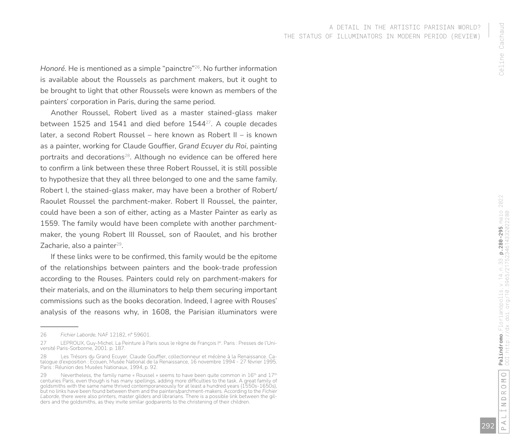*Honoré*. He is mentioned as a simple "painctre"<sup>26</sup>. No further information is available about the Roussels as parchment makers, but it ought to be brought to light that other Roussels were known as members of the painters' corporation in Paris, during the same period.

Another Roussel, Robert lived as a master stained-glass maker between 1525 and 1541 and died before 1544<sup>27</sup>. A couple decades later, a second Robert Roussel – here known as Robert II – is known as a painter, working for Claude Gouffier, *Grand Ecuyer du Roi*, painting portraits and decorations<sup>28</sup>. Although no evidence can be offered here to confirm a link between these three Robert Roussel, it is still possible to hypothesize that they all three belonged to one and the same family. Robert I, the stained-glass maker, may have been a brother of Robert/ Raoulet Roussel the parchment-maker. Robert II Roussel, the painter, could have been a son of either, acting as a Master Painter as early as 1559. The family would have been complete with another parchmentmaker, the young Robert III Roussel, son of Raoulet, and his brother Zacharie, also a painter $29$ .

If these links were to be confirmed, this family would be the epitome of the relationships between painters and the book-trade profession according to the Rouses. Painters could rely on parchment-makers for their materials, and on the illuminators to help them securing important commissions such as the books decoration. Indeed, I agree with Rouses' analysis of the reasons why, in 1608, the Parisian illuminators were

<sup>26</sup> *Fichier Laborde,* NAF 12182, n° 59601.

<sup>27</sup> LEPROUX, Guy-Michel. La Peinture à Paris sous le règne de François l<sup>er</sup>. Paris : Presses de l'Université Paris-Sorbonne, 2001. p. 187.

<sup>28</sup> Les Trésors du Grand Ecuyer. Claude Gouffier, collectionneur et mécène à la Renaissance. Ca talogue d'exposition : Écouen, Musée National de la Renaissance, 16 novembre 1994 - 27 février 1995. Paris : Réunion des Musées Nationaux, 1994, p. 92.

<sup>29</sup> Nevertheless, the family name « Roussel » seems to have been quite common in  $16<sup>th</sup>$  and  $17<sup>th</sup>$ centuries Paris, even though is has many spellings, adding more difficulties to the task. A great family of goldsmiths with the same name thrived contemporaneously for at least a hundred years (1550s-1650s), but no links have been found between them and the painters/parchment-makers. According to the *Fichier Laborde,* there were also printers, master gilders and librarians. There is a possible link between the gil - ders and the goldsmiths, as they invite similar godparents to the christening of their children.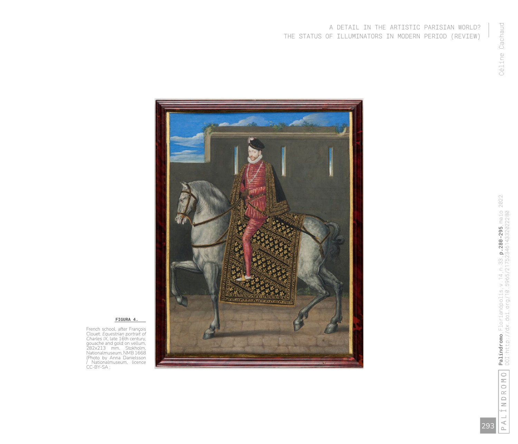### A DETAIL IN THE ARTISTIC PARISIAN WORLD? THE STATUS OF ILLUMINATORS IN MODERN PERIOD (REVIEW)



#### **FIGURA 4.**

French school, after François Clouet. *Equestrian portrait of Charles IX* , late 16th century, gouache and gold on vellum, 282x213 mm. Stokholm, Nationalmuseum, NMB1668 (Photo by Anna Danielsson / Nationalmuseum, licence CC-BY-SA :

> $\stackrel{\triangle}{\scriptstyle \vdash}$ 293

INDROMO

 $\overline{\phantom{0}}$ 

<code>Palíndromo</code>,<code>Florianópolis</code>,<code>v.14</code>,<code>n.33</code>,<code>p.280-295</code>,<code>maio 2022</code> DOI:http://dx.doi.org/10.5965/2175234614332022280

**Palíndromo**, Florianópolis, v.14, n.33, **p.280-295**, maio 2022<br>DOI:http://dx.doi.org/10.5965/2175234614332022280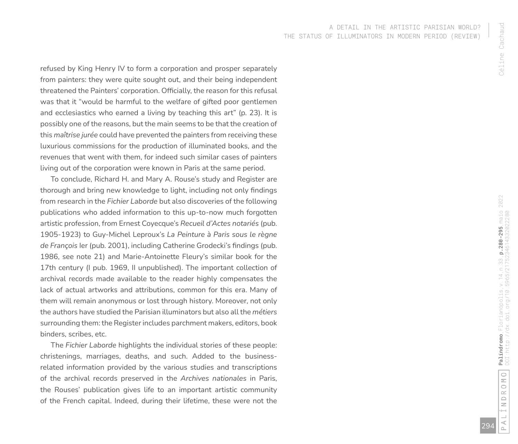refused by King Henry IV to form a corporation and prosper separately from painters: they were quite sought out, and their being independent threatened the Painters' corporation. Officially, the reason for this refusal was that it "would be harmful to the welfare of gifted poor gentlemen and ecclesiastics who earned a living by teaching this art" (p. 23). It is possibly one of the reasons, but the main seems to be that the creation of this *maîtrise jurée* could have prevented the painters from receiving these luxurious commissions for the production of illuminated books, and the revenues that went with them, for indeed such similar cases of painters living out of the corporation were known in Paris at the same period.

To conclude, Richard H. and Mary A. Rouse's study and Register are thorough and bring new knowledge to light, including not only findings from research in the *Fichier Laborde* but also discoveries of the following publications who added information to this up-to-now much forgotten artistic profession, from Ernest Coyecque's *Recueil d'Actes notariés* (pub. 1905-1923) to Guy-Michel Leproux's *La Peinture à Paris sous le règne de François* Ier (pub. 2001), including Catherine Grodecki's findings (pub. 1986, see note 21) and Marie-Antoinette Fleury's similar book for the 17th century (I pub. 1969, II unpublished). The important collection of archival records made available to the reader highly compensates the lack of actual artworks and attributions, common for this era. Many of them will remain anonymous or lost through history. Moreover, not only the authors have studied the Parisian illuminators but also all the *métiers* surrounding them: the Register includes parchment makers, editors, book binders, scribes, etc.

The *Fichier Laborde* highlights the individual stories of these people: christenings, marriages, deaths, and such. Added to the businessrelated information provided by the various studies and transcriptions of the archival records preserved in the *Archives nationales* in Paris, the Rouses' publication gives life to an important artistic community of the French capital. Indeed, during their lifetime, these were not the

294

Céline Cachaud

Céline Cachaud